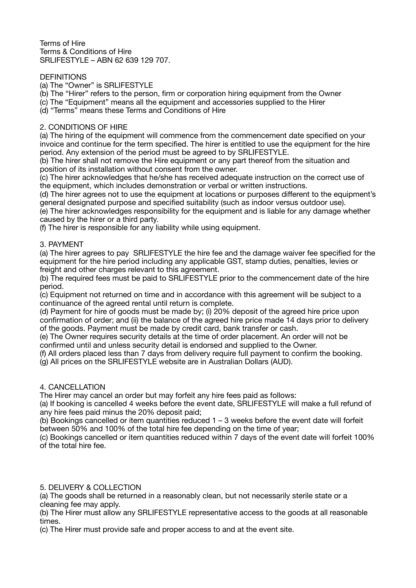Terms of Hire Terms & Conditions of Hire SRLIFESTYLE – ABN 62 639 129 707.

## **DEFINITIONS**

(a) The "Owner" is SRLIFESTYLE

(b) The "Hirer" refers to the person, firm or corporation hiring equipment from the Owner

(c) The "Equipment" means all the equipment and accessories supplied to the Hirer

(d) "Terms" means these Terms and Conditions of Hire

## 2. CONDITIONS OF HIRE

(a) The hiring of the equipment will commence from the commencement date specified on your invoice and continue for the term specified. The hirer is entitled to use the equipment for the hire period. Any extension of the period must be agreed to by SRLIFESTYLE.

(b) The hirer shall not remove the Hire equipment or any part thereof from the situation and position of its installation without consent from the owner.

(c) The hirer acknowledges that he/she has received adequate instruction on the correct use of the equipment, which includes demonstration or verbal or written instructions.

(d) The hirer agrees not to use the equipment at locations or purposes different to the equipment's general designated purpose and specified suitability (such as indoor versus outdoor use).

(e) The hirer acknowledges responsibility for the equipment and is liable for any damage whether caused by the hirer or a third party.

(f) The hirer is responsible for any liability while using equipment.

### 3. PAYMENT

(a) The hirer agrees to pay SRLIFESTYLE the hire fee and the damage waiver fee specified for the equipment for the hire period including any applicable GST, stamp duties, penalties, levies or freight and other charges relevant to this agreement.

(b) The required fees must be paid to SRLIFESTYLE prior to the commencement date of the hire period.

(c) Equipment not returned on time and in accordance with this agreement will be subject to a continuance of the agreed rental until return is complete.

(d) Payment for hire of goods must be made by; (i) 20% deposit of the agreed hire price upon confirmation of order; and (ii) the balance of the agreed hire price made 14 days prior to delivery of the goods. Payment must be made by credit card, bank transfer or cash.

(e) The Owner requires security details at the time of order placement. An order will not be confirmed until and unless security detail is endorsed and supplied to the Owner.

(f) All orders placed less than 7 days from delivery require full payment to confirm the booking. (g) All prices on the SRLIFESTYLE website are in Australian Dollars (AUD).

#### 4. CANCELLATION

The Hirer may cancel an order but may forfeit any hire fees paid as follows:

(a) If booking is cancelled 4 weeks before the event date, SRLIFESTYLE will make a full refund of any hire fees paid minus the 20% deposit paid;

(b) Bookings cancelled or item quantities reduced  $1 - 3$  weeks before the event date will forfeit between 50% and 100% of the total hire fee depending on the time of year;

(c) Bookings cancelled or item quantities reduced within 7 days of the event date will forfeit 100% of the total hire fee.

# 5. DELIVERY & COLLECTION

(a) The goods shall be returned in a reasonably clean, but not necessarily sterile state or a cleaning fee may apply.

(b) The Hirer must allow any SRLIFESTYLE representative access to the goods at all reasonable times.

(c) The Hirer must provide safe and proper access to and at the event site.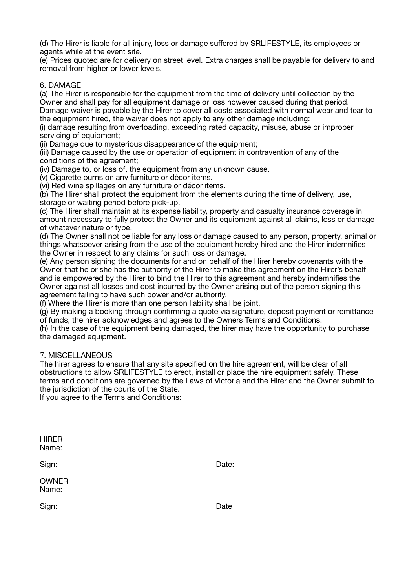(d) The Hirer is liable for all injury, loss or damage suffered by SRLIFESTYLE, its employees or agents while at the event site.

(e) Prices quoted are for delivery on street level. Extra charges shall be payable for delivery to and removal from higher or lower levels.

### 6. DAMAGE

(a) The Hirer is responsible for the equipment from the time of delivery until collection by the Owner and shall pay for all equipment damage or loss however caused during that period. Damage waiver is payable by the Hirer to cover all costs associated with normal wear and tear to the equipment hired, the waiver does not apply to any other damage including:

(i) damage resulting from overloading, exceeding rated capacity, misuse, abuse or improper servicing of equipment;

(ii) Damage due to mysterious disappearance of the equipment;

(iii) Damage caused by the use or operation of equipment in contravention of any of the conditions of the agreement;

(iv) Damage to, or loss of, the equipment from any unknown cause.

(v) Cigarette burns on any furniture or décor items.

(vi) Red wine spillages on any furniture or décor items.

(b) The Hirer shall protect the equipment from the elements during the time of delivery, use, storage or waiting period before pick-up.

(c) The Hirer shall maintain at its expense liability, property and casualty insurance coverage in amount necessary to fully protect the Owner and its equipment against all claims, loss or damage of whatever nature or type.

(d) The Owner shall not be liable for any loss or damage caused to any person, property, animal or things whatsoever arising from the use of the equipment hereby hired and the Hirer indemnifies the Owner in respect to any claims for such loss or damage.

(e) Any person signing the documents for and on behalf of the Hirer hereby covenants with the Owner that he or she has the authority of the Hirer to make this agreement on the Hirer's behalf and is empowered by the Hirer to bind the Hirer to this agreement and hereby indemnifies the Owner against all losses and cost incurred by the Owner arising out of the person signing this agreement failing to have such power and/or authority.

(f) Where the Hirer is more than one person liability shall be joint.

(g) By making a booking through confirming a quote via signature, deposit payment or remittance of funds, the hirer acknowledges and agrees to the Owners Terms and Conditions.

(h) In the case of the equipment being damaged, the hirer may have the opportunity to purchase the damaged equipment.

# 7. MISCELLANEOUS

The hirer agrees to ensure that any site specified on the hire agreement, will be clear of all obstructions to allow SRLIFESTYLE to erect, install or place the hire equipment safely. These terms and conditions are governed by the Laws of Victoria and the Hirer and the Owner submit to the jurisdiction of the courts of the State.

If you agree to the Terms and Conditions:

| HIRER |  |
|-------|--|
| Name: |  |

Sign: **Sign: Date: Date: Date:** 

**OWNER** Name: 

Sign: **Contract Contract Contract Contract Contract Contract Contract Contract Contract Contract Contract Contract Contract Contract Contract Contract Contract Contract Contract Contract Contract Contract Contract Contract**